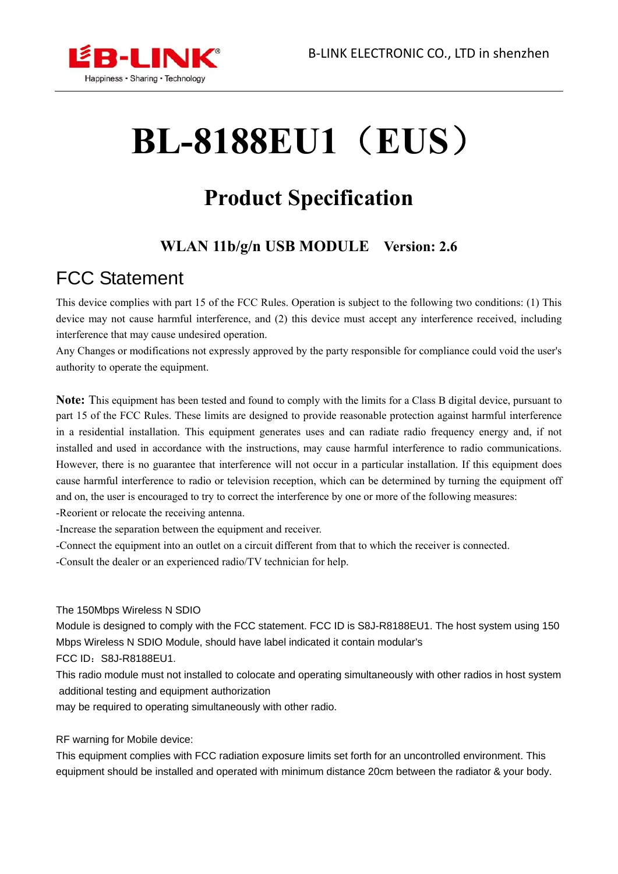

# **BL-8188EU1**(**EUS**)

# **Product Specification**

#### **WLAN 11b/g/n USB MODULE Version: 2.6**

# FCC Statement

This device complies with part 15 of the FCC Rules. Operation is subject to the following two conditions: (1) This device may not cause harmful interference, and (2) this device must accept any interference received, including interference that may cause undesired operation.

Any Changes or modifications not expressly approved by the party responsible for compliance could void the user's authority to operate the equipment.

**Note:** This equipment has been tested and found to comply with the limits for a Class B digital device, pursuant to part 15 of the FCC Rules. These limits are designed to provide reasonable protection against harmful interference in a residential installation. This equipment generates uses and can radiate radio frequency energy and, if not installed and used in accordance with the instructions, may cause harmful interference to radio communications. However, there is no guarantee that interference will not occur in a particular installation. If this equipment does cause harmful interference to radio or television reception, which can be determined by turning the equipment off and on, the user is encouraged to try to correct the interference by one or more of the following measures:

-Reorient or relocate the receiving antenna.

-Increase the separation between the equipment and receiver.

-Connect the equipment into an outlet on a circuit different from that to which the receiver is connected.

-Consult the dealer or an experienced radio/TV technician for help.

The 150Mbps Wireless N SDIO

Module is designed to comply with the FCC statement. FCC ID is S8J-R8188EU1. The host system using 150 Mbps Wireless N SDIO Module, should have label indicated it contain modular's

FCC ID: S8J-R8188EU1.

This radio module must not installed to colocate and operating simultaneously with other radios in host system additional testing and equipment authorization

may be required to operating simultaneously with other radio.

RF warning for Mobile device:

This equipment complies with FCC radiation exposure limits set forth for an uncontrolled environment. This equipment should be installed and operated with minimum distance 20cm between the radiator & your body.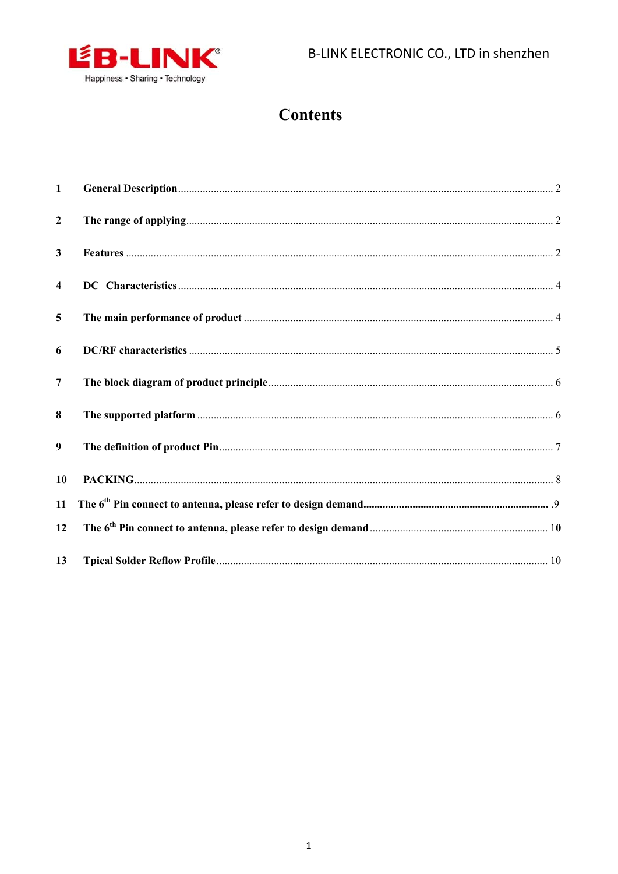

#### **Contents**

| $\mathbf{1}$            |  |
|-------------------------|--|
| $\overline{2}$          |  |
| $\mathbf{3}$            |  |
| $\overline{\mathbf{4}}$ |  |
| 5                       |  |
| 6                       |  |
| $\overline{7}$          |  |
| 8                       |  |
| 9                       |  |
| 10                      |  |
| 11                      |  |
| 12                      |  |
| 13                      |  |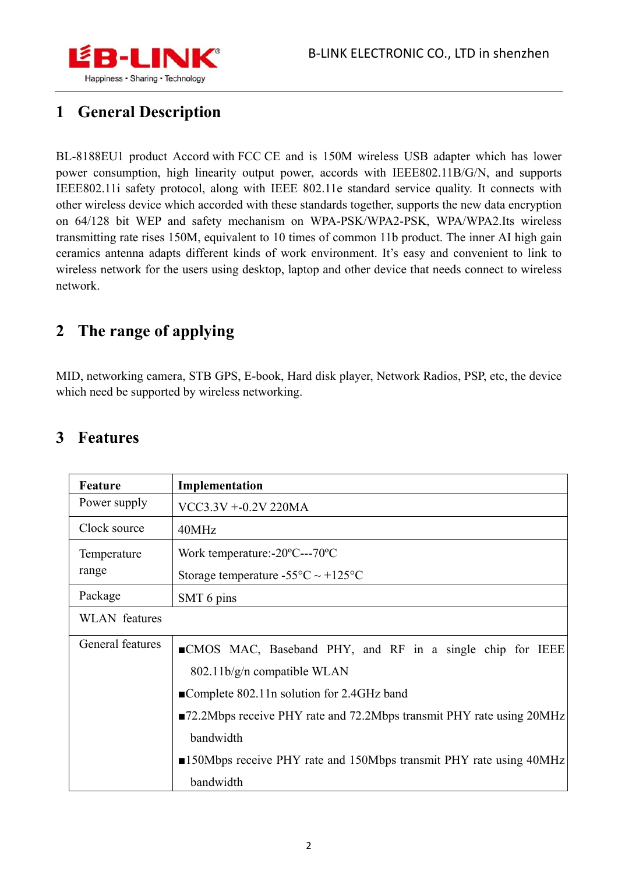

#### **1 General Description**

BL-8188EU1 product Accord with FCC CE and is 150M wireless USB adapter which has lower power consumption, high linearity output power, accords with IEEE802.11B/G/N, and supports IEEE802.11i safety protocol, along with IEEE 802.11e standard service quality. It connects with other wireless device which accorded with these standards together, supports the new data encryption on 64/128 bit WEP and safety mechanism on WPA-PSK/WPA2-PSK, WPA/WPA2.Its wireless transmitting rate rises 150M, equivalent to 10 times of common 11b product. The inner AI high gain ceramics antenna adapts different kinds of work environment. It's easy and convenient to link to wireless network for the users using desktop, laptop and other device that needs connect to wireless network.

#### **2 The range of applying**

MID, networking camera, STB GPS, E-book, Hard disk player, Network Radios, PSP, etc, the device which need be supported by wireless networking.

#### **3 Features**

| Feature              | Implementation                                                                    |  |  |
|----------------------|-----------------------------------------------------------------------------------|--|--|
| Power supply         | VCC3.3V +-0.2V 220MA                                                              |  |  |
| Clock source         | 40MHz                                                                             |  |  |
| Temperature          | Work temperature:- $20^{\circ}$ C--- $70^{\circ}$ C                               |  |  |
| range                | Storage temperature -55 $\textdegree$ C ~ +125 $\textdegree$ C                    |  |  |
| Package              | SMT 6 pins                                                                        |  |  |
| <b>WLAN</b> features |                                                                                   |  |  |
| General features     | ■CMOS MAC, Baseband PHY, and RF in a single chip for IEEE                         |  |  |
|                      | 802.11b/g/n compatible WLAN                                                       |  |  |
|                      | ■Complete 802.11n solution for 2.4GHz band                                        |  |  |
|                      | ■72.2Mbps receive PHY rate and 72.2Mbps transmit PHY rate using 20MHz             |  |  |
|                      | bandwidth                                                                         |  |  |
|                      | $\blacksquare$ 150Mbps receive PHY rate and 150Mbps transmit PHY rate using 40MHz |  |  |
|                      | bandwidth                                                                         |  |  |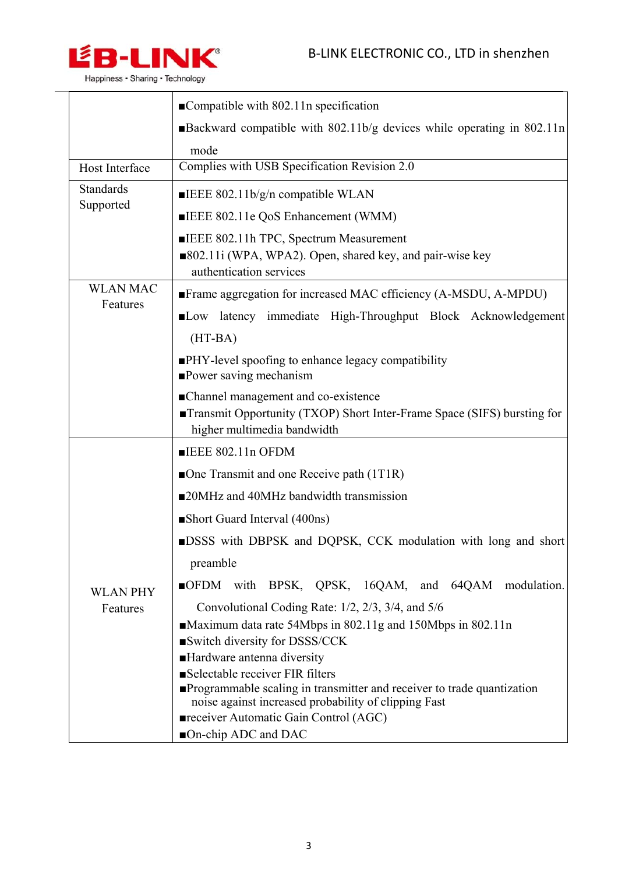$\overline{\phantom{0}}$ 



|                  | $\blacksquare$ Compatible with 802.11n specification                                                                                            |  |  |
|------------------|-------------------------------------------------------------------------------------------------------------------------------------------------|--|--|
|                  | ■Backward compatible with 802.11b/g devices while operating in 802.11n                                                                          |  |  |
|                  | mode                                                                                                                                            |  |  |
| Host Interface   | Complies with USB Specification Revision 2.0                                                                                                    |  |  |
| <b>Standards</b> | <b>ELECTED</b> 802.11b/g/n compatible WLAN                                                                                                      |  |  |
| Supported        | ELEG 802.11e QoS Enhancement (WMM)                                                                                                              |  |  |
|                  | ELEG 802.11h TPC, Spectrum Measurement                                                                                                          |  |  |
|                  | ■802.11i (WPA, WPA2). Open, shared key, and pair-wise key<br>authentication services                                                            |  |  |
| <b>WLAN MAC</b>  | Frame aggregation for increased MAC efficiency (A-MSDU, A-MPDU)                                                                                 |  |  |
| Features         | Low latency immediate High-Throughput Block Acknowledgement                                                                                     |  |  |
|                  | $(HT-BA)$                                                                                                                                       |  |  |
|                  | PHY-level spoofing to enhance legacy compatibility<br><b>Power saving mechanism</b>                                                             |  |  |
|                  | • Channel management and co-existence<br>Transmit Opportunity (TXOP) Short Inter-Frame Space (SIFS) bursting for<br>higher multimedia bandwidth |  |  |
|                  | $\P$ IEEE 802.11n OFDM                                                                                                                          |  |  |
|                  | One Transmit and one Receive path $(1T1R)$                                                                                                      |  |  |
|                  | ■20MHz and 40MHz bandwidth transmission                                                                                                         |  |  |
|                  | Short Guard Interval (400ns)                                                                                                                    |  |  |
|                  | <b>DESS</b> with DBPSK and DQPSK, CCK modulation with long and short                                                                            |  |  |
|                  | preamble                                                                                                                                        |  |  |
| <b>WLAN PHY</b>  | OFDM with BPSK, QPSK, 16QAM, and 64QAM modulation.                                                                                              |  |  |
| Features         | Convolutional Coding Rate: 1/2, 2/3, 3/4, and 5/6                                                                                               |  |  |
|                  | ■Maximum data rate 54Mbps in 802.11g and 150Mbps in 802.11n                                                                                     |  |  |
|                  | Switch diversity for DSSS/CCK<br>Hardware antenna diversity                                                                                     |  |  |
|                  | Selectable receiver FIR filters                                                                                                                 |  |  |
|                  | <b>Programmable scaling in transmitter and receiver to trade quantization</b>                                                                   |  |  |
|                  | noise against increased probability of clipping Fast                                                                                            |  |  |
|                  | receiver Automatic Gain Control (AGC)<br>■On-chip ADC and DAC                                                                                   |  |  |
|                  |                                                                                                                                                 |  |  |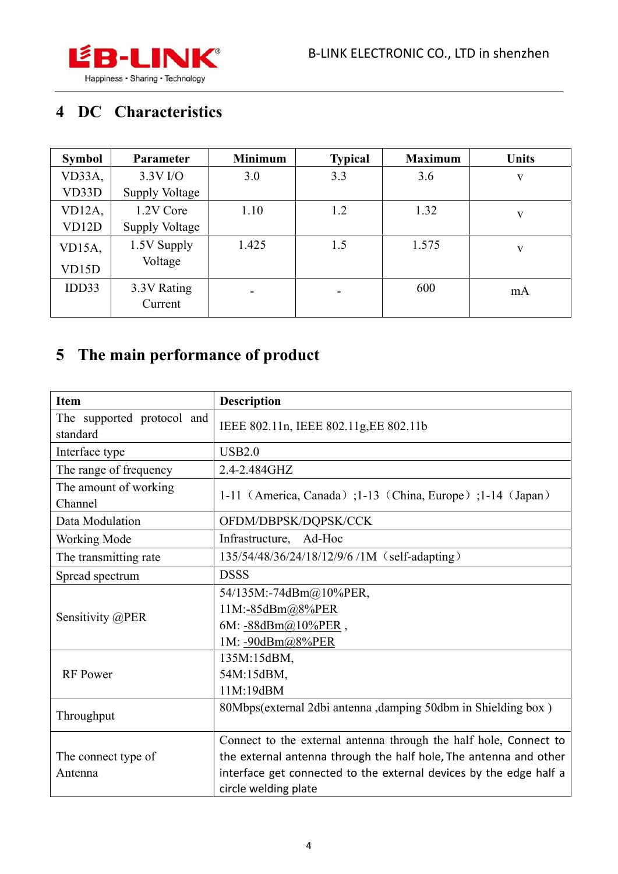

### **4 DC Characteristics**

| <b>Symbol</b>      | Parameter             | <b>Minimum</b> | <b>Typical</b>           | <b>Maximum</b> | <b>Units</b> |
|--------------------|-----------------------|----------------|--------------------------|----------------|--------------|
| VD33A,             | $3.3V$ I/O            | 3.0            | 3.3                      | 3.6            | V            |
| VD33D              | <b>Supply Voltage</b> |                |                          |                |              |
| VD12A,             | 1.2V Core             | 1.10           | 1.2                      | 1.32           | V            |
| VD <sub>12</sub> D | <b>Supply Voltage</b> |                |                          |                |              |
| VD15A,             | 1.5V Supply           | 1.425          | 1.5                      | 1.575          | V            |
| VD15D              | Voltage               |                |                          |                |              |
| IDD33              | 3.3V Rating           |                | $\overline{\phantom{0}}$ | 600            | mA           |
|                    | Current               |                |                          |                |              |

### **5 The main performance of product**

| <b>Item</b>                            | <b>Description</b>                                                                                                                                                                                                                   |  |  |
|----------------------------------------|--------------------------------------------------------------------------------------------------------------------------------------------------------------------------------------------------------------------------------------|--|--|
| The supported protocol and<br>standard | IEEE 802.11n, IEEE 802.11g, EE 802.11b                                                                                                                                                                                               |  |  |
| Interface type                         | <b>USB2.0</b>                                                                                                                                                                                                                        |  |  |
| The range of frequency                 | 2.4-2.484GHZ                                                                                                                                                                                                                         |  |  |
| The amount of working<br>Channel       | 1-11 (America, Canada) ; 1-13 (China, Europe) ; 1-14 (Japan)                                                                                                                                                                         |  |  |
| Data Modulation                        | OFDM/DBPSK/DQPSK/CCK                                                                                                                                                                                                                 |  |  |
| <b>Working Mode</b>                    | Infrastructure, Ad-Hoc                                                                                                                                                                                                               |  |  |
| The transmitting rate                  | 135/54/48/36/24/18/12/9/6 /1M (self-adapting)                                                                                                                                                                                        |  |  |
| Spread spectrum                        | <b>DSSS</b>                                                                                                                                                                                                                          |  |  |
| Sensitivity @PER                       | 54/135M:-74dBm@10%PER,<br>11M:-85dBm@8%PER<br>6M: $-88dBm(a)10%PER$ ,<br>1M: -90dBm@8%PER                                                                                                                                            |  |  |
| <b>RF</b> Power                        | 135M:15dBM,<br>54M:15dBM,<br>11M:19dBM                                                                                                                                                                                               |  |  |
| Throughput                             | 80Mbps(external 2dbi antenna ,damping 50dbm in Shielding box)                                                                                                                                                                        |  |  |
| The connect type of<br>Antenna         | Connect to the external antenna through the half hole, Connect to<br>the external antenna through the half hole, The antenna and other<br>interface get connected to the external devices by the edge half a<br>circle welding plate |  |  |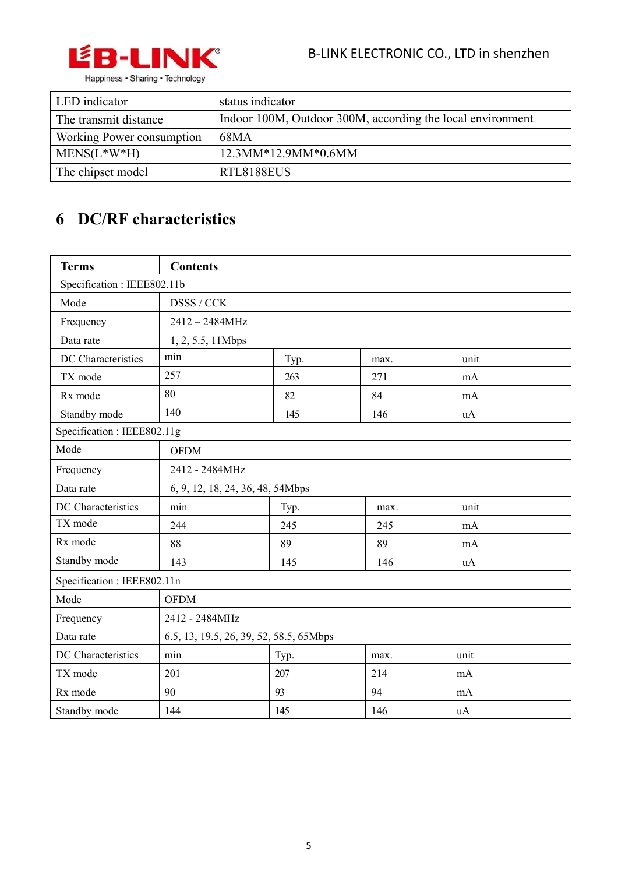

| LED indicator             | status indicator                                           |
|---------------------------|------------------------------------------------------------|
| The transmit distance     | Indoor 100M, Outdoor 300M, according the local environment |
| Working Power consumption | 68MA                                                       |
| $MENS(L*W*H)$             | 12.3MM*12.9MM*0.6MM                                        |
| The chipset model         | RTL8188EUS                                                 |

### **6 DC/RF characteristics**

| <b>Terms</b>               | <b>Contents</b>                         |      |      |           |
|----------------------------|-----------------------------------------|------|------|-----------|
| Specification: IEEE802.11b |                                         |      |      |           |
| Mode                       | DSSS / CCK                              |      |      |           |
| Frequency                  | 2412-2484MHz                            |      |      |           |
| Data rate                  | 1, 2, 5.5, 11Mbps                       |      |      |           |
| DC Characteristics         | min                                     | Typ. | max. | unit      |
| TX mode                    | 257                                     | 263  | 271  | mA        |
| Rx mode                    | 80                                      | 82   | 84   | mA        |
| Standby mode               | 140                                     | 145  | 146  | <b>uA</b> |
| Specification: IEEE802.11g |                                         |      |      |           |
| Mode                       | <b>OFDM</b>                             |      |      |           |
| Frequency                  | 2412 - 2484MHz                          |      |      |           |
| Data rate                  | 6, 9, 12, 18, 24, 36, 48, 54Mbps        |      |      |           |
| DC Characteristics         | min                                     | Typ. | max. | unit      |
| TX mode                    | 244                                     | 245  | 245  | mA        |
| Rx mode                    | 88                                      | 89   | 89   | mA        |
| Standby mode               | 143                                     | 145  | 146  | uA        |
| Specification: IEEE802.11n |                                         |      |      |           |
| Mode<br><b>OFDM</b>        |                                         |      |      |           |
| Frequency                  | 2412 - 2484MHz                          |      |      |           |
| Data rate                  | 6.5, 13, 19.5, 26, 39, 52, 58.5, 65Mbps |      |      |           |
| DC Characteristics         | min                                     | Typ. | max. | unit      |
| TX mode                    | 201                                     | 207  | 214  | mA        |
| Rx mode                    | 90                                      | 93   | 94   | mA        |
| Standby mode               | 144                                     | 145  | 146  | uA        |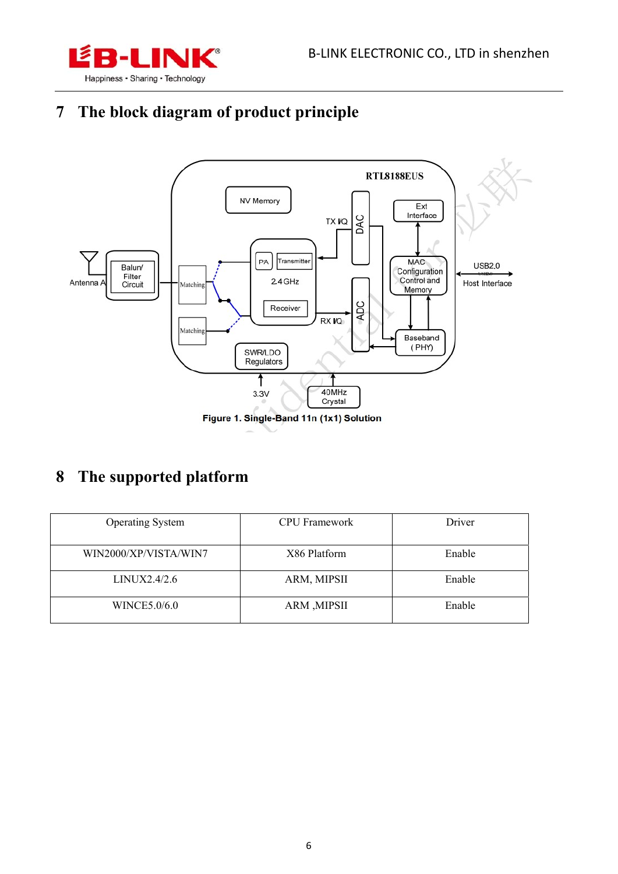

# **7 The block diagram of product principle**



#### **8 The supported platform**

| <b>Operating System</b> | <b>CPU</b> Framework | Driver |
|-------------------------|----------------------|--------|
| WIN2000/XP/VISTA/WIN7   | X86 Platform         | Enable |
| LINUX2.4/2.6            | ARM, MIPSII          | Enable |
| WINCE5.0/6.0            | ARM , MIPSII         | Enable |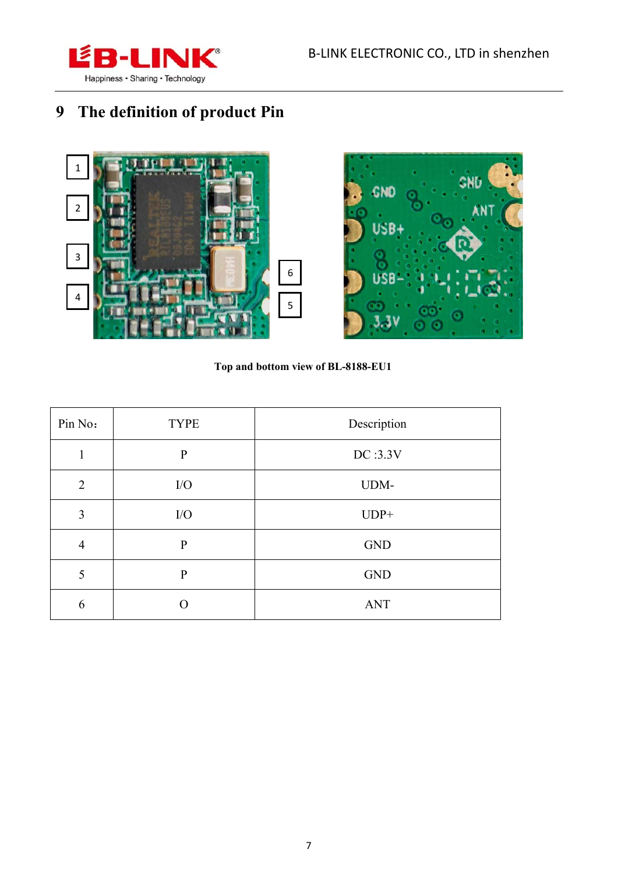

# **9 The definition of product Pin**





**Top and bottom view of BL-8188-EU1** 

| Pin No:        | <b>TYPE</b>  | Description |  |
|----------------|--------------|-------------|--|
|                | $\mathbf{P}$ | DC:3.3V     |  |
| $\overline{2}$ | I/O          | UDM-        |  |
| 3              | I/O          | $UDP+$      |  |
| $\overline{4}$ | $\mathbf{P}$ | <b>GND</b>  |  |
| 5              | $\mathbf{P}$ | <b>GND</b>  |  |
| 6              |              | <b>ANT</b>  |  |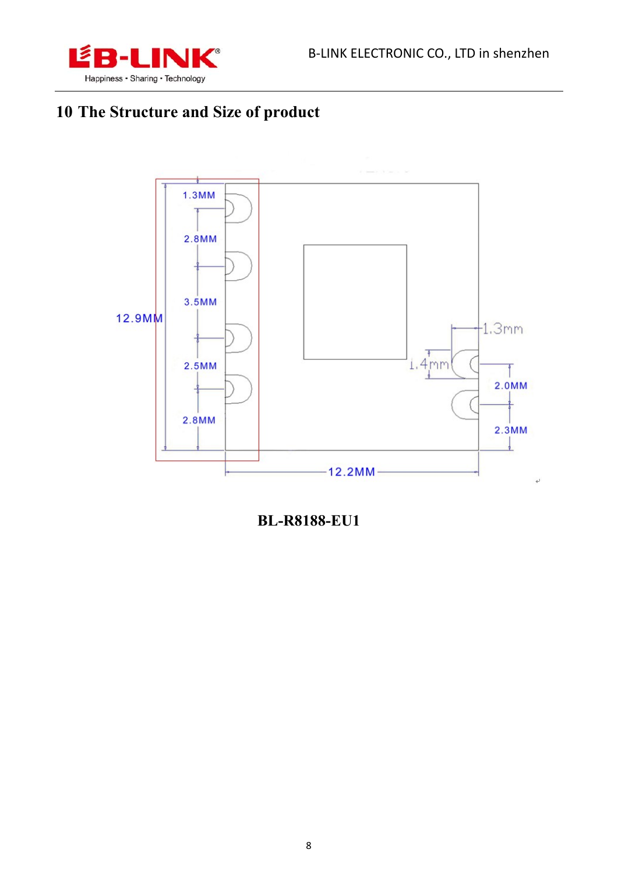

# 10 The Structure and Size of product



**BL-R8188-EU1**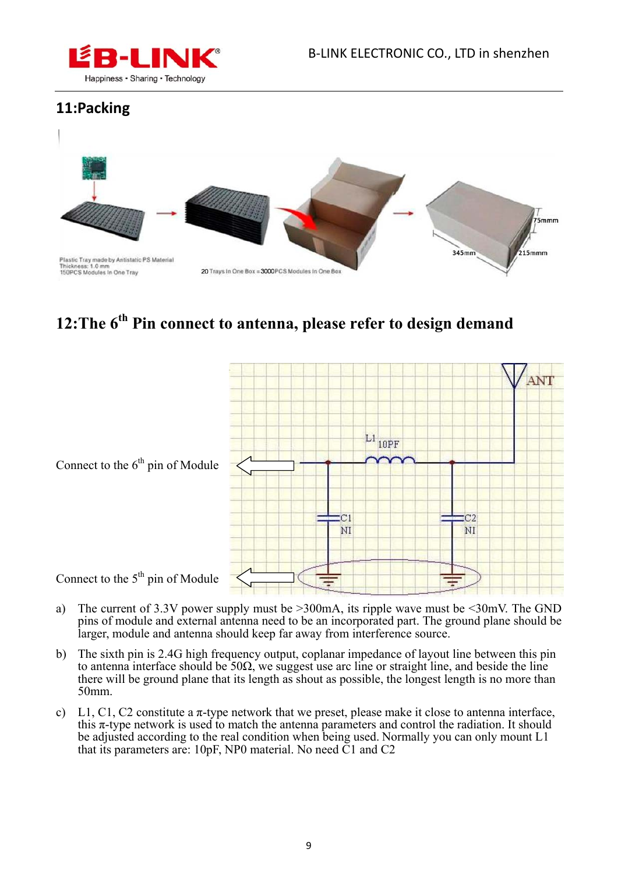

#### **11:Packing**



#### **12:The 6th Pin connect to antenna, please refer to design demand**



- 
- a) The current of 3.3V power supply must be >300mA, its ripple wave must be <30mV. The GND pins of module and external antenna need to be an incorporated part. The ground plane should be larger, module and antenna should keep far away from interference source.
- b) The sixth pin is 2.4G high frequency output, coplanar impedance of layout line between this pin to antenna interface should be  $50\Omega$ , we suggest use arc line or straight line, and beside the line there will be ground plane that its length as shout as possible, the longest length is no more than 50mm.
- c) L1, C1, C2 constitute a  $\pi$ -type network that we preset, please make it close to antenna interface, this  $\pi$ -type network is used to match the antenna parameters and control the radiation. It should be adjusted according to the real condition when being used. Normally you can only mount L1 that its parameters are: 10pF, NP0 material. No need  $\check{C}1$  and  $C2$